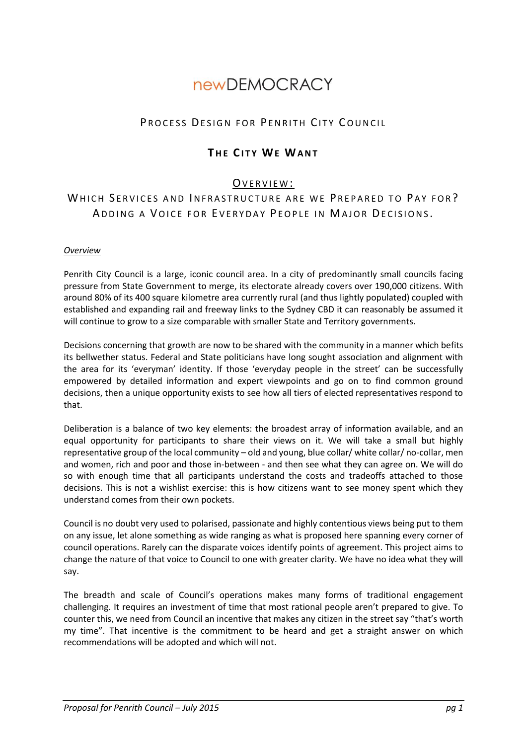# **newDEMOCRACY**

# PROCESS DESIGN FOR PENRITH CITY COUNCIL

# **TH E CI T Y WE WA N T**

## OVERVIEW:

# WHICH SERVICES AND INFRASTRUCTURE ARE WE PREPARED TO PAY FOR? ADDING A VOICE FOR EVERYDAY PEOPLE IN MAJOR DECISIONS.

#### *Overview*

Penrith City Council is a large, iconic council area. In a city of predominantly small councils facing pressure from State Government to merge, its electorate already covers over 190,000 citizens. With around 80% of its 400 square kilometre area currently rural (and thus lightly populated) coupled with established and expanding rail and freeway links to the Sydney CBD it can reasonably be assumed it will continue to grow to a size comparable with smaller State and Territory governments.

Decisions concerning that growth are now to be shared with the community in a manner which befits its bellwether status. Federal and State politicians have long sought association and alignment with the area for its 'everyman' identity. If those 'everyday people in the street' can be successfully empowered by detailed information and expert viewpoints and go on to find common ground decisions, then a unique opportunity exists to see how all tiers of elected representatives respond to that.

Deliberation is a balance of two key elements: the broadest array of information available, and an equal opportunity for participants to share their views on it. We will take a small but highly representative group of the local community – old and young, blue collar/ white collar/ no-collar, men and women, rich and poor and those in-between - and then see what they can agree on. We will do so with enough time that all participants understand the costs and tradeoffs attached to those decisions. This is not a wishlist exercise: this is how citizens want to see money spent which they understand comes from their own pockets.

Council is no doubt very used to polarised, passionate and highly contentious views being put to them on any issue, let alone something as wide ranging as what is proposed here spanning every corner of council operations. Rarely can the disparate voices identify points of agreement. This project aims to change the nature of that voice to Council to one with greater clarity. We have no idea what they will say.

The breadth and scale of Council's operations makes many forms of traditional engagement challenging. It requires an investment of time that most rational people aren't prepared to give. To counter this, we need from Council an incentive that makes any citizen in the street say "that's worth my time". That incentive is the commitment to be heard and get a straight answer on which recommendations will be adopted and which will not.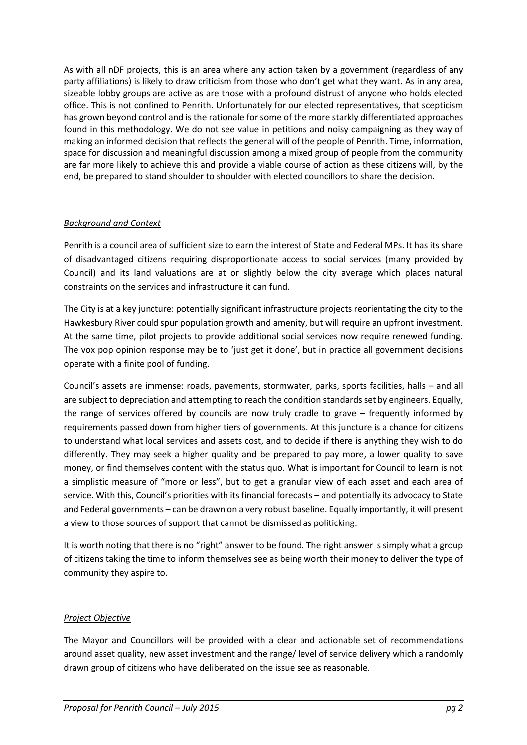As with all nDF projects, this is an area where any action taken by a government (regardless of any party affiliations) is likely to draw criticism from those who don't get what they want. As in any area, sizeable lobby groups are active as are those with a profound distrust of anyone who holds elected office. This is not confined to Penrith. Unfortunately for our elected representatives, that scepticism has grown beyond control and is the rationale for some of the more starkly differentiated approaches found in this methodology. We do not see value in petitions and noisy campaigning as they way of making an informed decision that reflects the general will of the people of Penrith. Time, information, space for discussion and meaningful discussion among a mixed group of people from the community are far more likely to achieve this and provide a viable course of action as these citizens will, by the end, be prepared to stand shoulder to shoulder with elected councillors to share the decision.

## *Background and Context*

Penrith is a council area of sufficient size to earn the interest of State and Federal MPs. It has its share of disadvantaged citizens requiring disproportionate access to social services (many provided by Council) and its land valuations are at or slightly below the city average which places natural constraints on the services and infrastructure it can fund.

The City is at a key juncture: potentially significant infrastructure projects reorientating the city to the Hawkesbury River could spur population growth and amenity, but will require an upfront investment. At the same time, pilot projects to provide additional social services now require renewed funding. The vox pop opinion response may be to 'just get it done', but in practice all government decisions operate with a finite pool of funding.

Council's assets are immense: roads, pavements, stormwater, parks, sports facilities, halls – and all are subject to depreciation and attempting to reach the condition standards set by engineers. Equally, the range of services offered by councils are now truly cradle to grave – frequently informed by requirements passed down from higher tiers of governments. At this juncture is a chance for citizens to understand what local services and assets cost, and to decide if there is anything they wish to do differently. They may seek a higher quality and be prepared to pay more, a lower quality to save money, or find themselves content with the status quo. What is important for Council to learn is not a simplistic measure of "more or less", but to get a granular view of each asset and each area of service. With this, Council's priorities with its financial forecasts – and potentially its advocacy to State and Federal governments – can be drawn on a very robust baseline. Equally importantly, it will present a view to those sources of support that cannot be dismissed as politicking.

It is worth noting that there is no "right" answer to be found. The right answer is simply what a group of citizens taking the time to inform themselves see as being worth their money to deliver the type of community they aspire to.

#### *Project Objective*

The Mayor and Councillors will be provided with a clear and actionable set of recommendations around asset quality, new asset investment and the range/ level of service delivery which a randomly drawn group of citizens who have deliberated on the issue see as reasonable.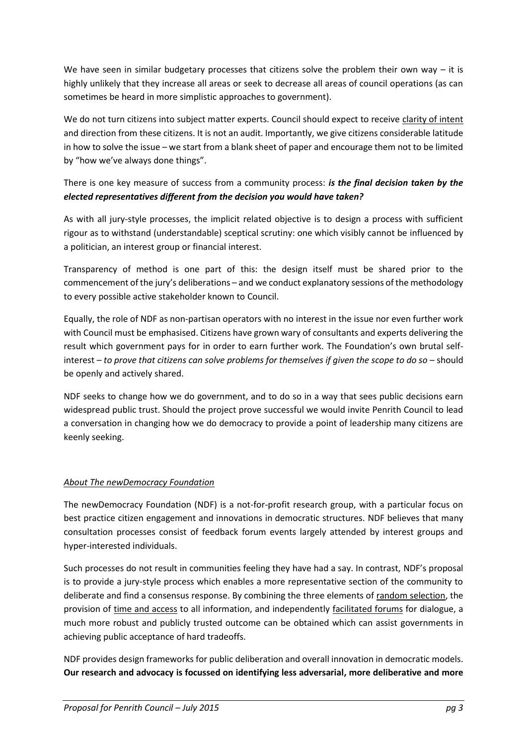We have seen in similar budgetary processes that citizens solve the problem their own way  $-$  it is highly unlikely that they increase all areas or seek to decrease all areas of council operations (as can sometimes be heard in more simplistic approaches to government).

We do not turn citizens into subject matter experts. Council should expect to receive clarity of intent and direction from these citizens. It is not an audit. Importantly, we give citizens considerable latitude in how to solve the issue – we start from a blank sheet of paper and encourage them not to be limited by "how we've always done things".

# There is one key measure of success from a community process: *is the final decision taken by the elected representatives different from the decision you would have taken?*

As with all jury-style processes, the implicit related objective is to design a process with sufficient rigour as to withstand (understandable) sceptical scrutiny: one which visibly cannot be influenced by a politician, an interest group or financial interest.

Transparency of method is one part of this: the design itself must be shared prior to the commencement of the jury's deliberations – and we conduct explanatory sessions of the methodology to every possible active stakeholder known to Council.

Equally, the role of NDF as non-partisan operators with no interest in the issue nor even further work with Council must be emphasised. Citizens have grown wary of consultants and experts delivering the result which government pays for in order to earn further work. The Foundation's own brutal selfinterest – *to prove that citizens can solve problems for themselves if given the scope to do so* – should be openly and actively shared.

NDF seeks to change how we do government, and to do so in a way that sees public decisions earn widespread public trust. Should the project prove successful we would invite Penrith Council to lead a conversation in changing how we do democracy to provide a point of leadership many citizens are keenly seeking.

## *About The newDemocracy Foundation*

The newDemocracy Foundation (NDF) is a not-for-profit research group, with a particular focus on best practice citizen engagement and innovations in democratic structures. NDF believes that many consultation processes consist of feedback forum events largely attended by interest groups and hyper-interested individuals.

Such processes do not result in communities feeling they have had a say. In contrast, NDF's proposal is to provide a jury-style process which enables a more representative section of the community to deliberate and find a consensus response. By combining the three elements of random selection, the provision of time and access to all information, and independently facilitated forums for dialogue, a much more robust and publicly trusted outcome can be obtained which can assist governments in achieving public acceptance of hard tradeoffs.

NDF provides design frameworks for public deliberation and overall innovation in democratic models. **Our research and advocacy is focussed on identifying less adversarial, more deliberative and more**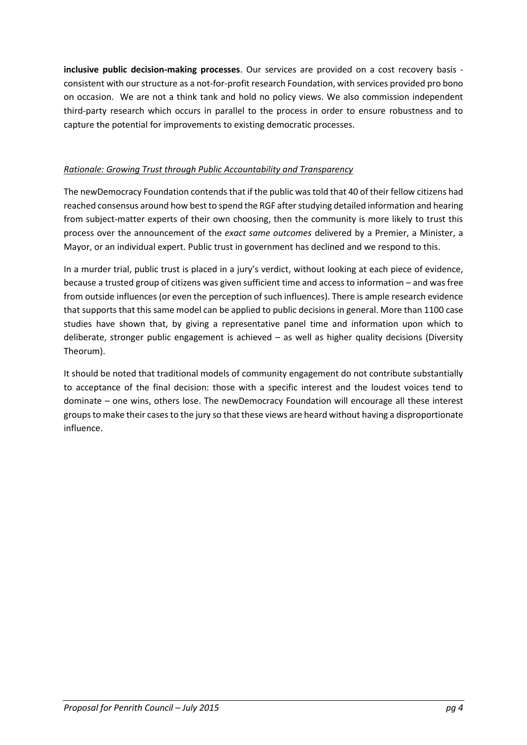**inclusive public decision-making processes**. Our services are provided on a cost recovery basis consistent with our structure as a not-for-profit research Foundation, with services provided pro bono on occasion. We are not a think tank and hold no policy views. We also commission independent third-party research which occurs in parallel to the process in order to ensure robustness and to capture the potential for improvements to existing democratic processes.

## *Rationale: Growing Trust through Public Accountability and Transparency*

The newDemocracy Foundation contends that if the public was told that 40 of their fellow citizens had reached consensus around how best to spend the RGF after studying detailed information and hearing from subject-matter experts of their own choosing, then the community is more likely to trust this process over the announcement of the *exact same outcomes* delivered by a Premier, a Minister, a Mayor, or an individual expert. Public trust in government has declined and we respond to this.

In a murder trial, public trust is placed in a jury's verdict, without looking at each piece of evidence, because a trusted group of citizens was given sufficient time and access to information – and was free from outside influences (or even the perception of such influences). There is ample research evidence that supports that this same model can be applied to public decisions in general. More than 1100 case studies have shown that, by giving a representative panel time and information upon which to deliberate, stronger public engagement is achieved – as well as higher quality decisions (Diversity Theorum).

It should be noted that traditional models of community engagement do not contribute substantially to acceptance of the final decision: those with a specific interest and the loudest voices tend to dominate – one wins, others lose. The newDemocracy Foundation will encourage all these interest groups to make their cases to the jury so that these views are heard without having a disproportionate influence.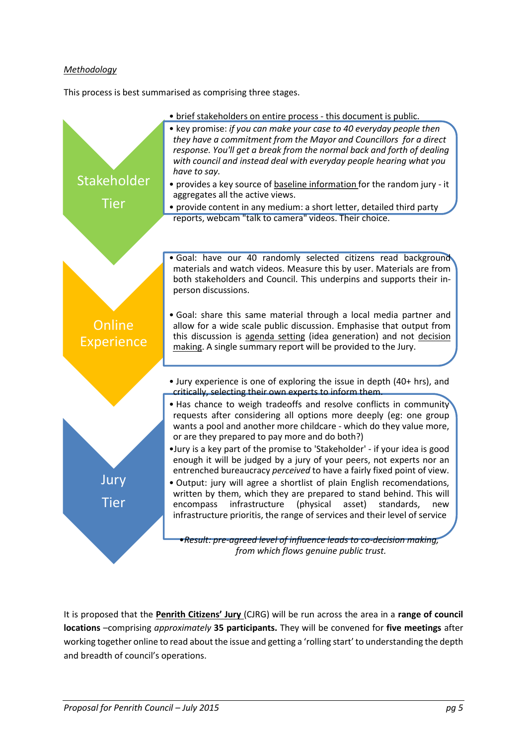## *Methodology*

This process is best summarised as comprising three stages.



It is proposed that the **Penrith Citizens' Jury** (CJRG) will be run across the area in a **range of council locations** –comprising *approximately* **35 participants.** They will be convened for **five meetings** after working together online to read about the issue and getting a 'rolling start' to understanding the depth and breadth of council's operations.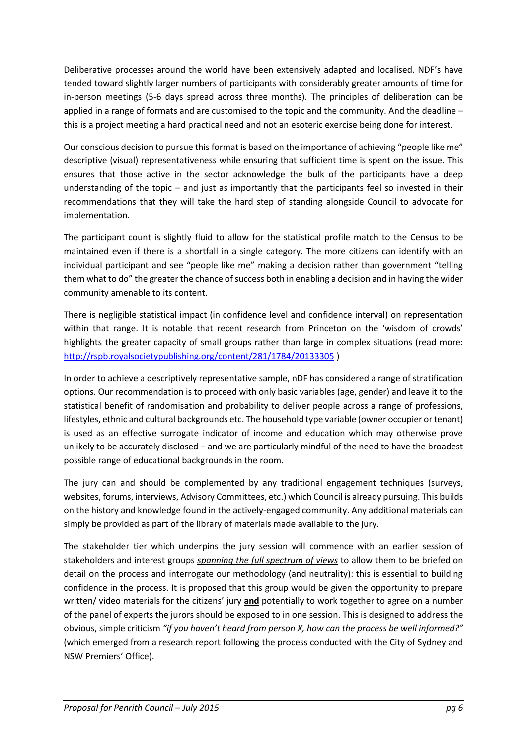Deliberative processes around the world have been extensively adapted and localised. NDF's have tended toward slightly larger numbers of participants with considerably greater amounts of time for in-person meetings (5-6 days spread across three months). The principles of deliberation can be applied in a range of formats and are customised to the topic and the community. And the deadline this is a project meeting a hard practical need and not an esoteric exercise being done for interest.

Our conscious decision to pursue this format is based on the importance of achieving "people like me" descriptive (visual) representativeness while ensuring that sufficient time is spent on the issue. This ensures that those active in the sector acknowledge the bulk of the participants have a deep understanding of the topic – and just as importantly that the participants feel so invested in their recommendations that they will take the hard step of standing alongside Council to advocate for implementation.

The participant count is slightly fluid to allow for the statistical profile match to the Census to be maintained even if there is a shortfall in a single category. The more citizens can identify with an individual participant and see "people like me" making a decision rather than government "telling them what to do" the greater the chance of success both in enabling a decision and in having the wider community amenable to its content.

There is negligible statistical impact (in confidence level and confidence interval) on representation within that range. It is notable that recent research from Princeton on the 'wisdom of crowds' highlights the greater capacity of small groups rather than large in complex situations (read more: <http://rspb.royalsocietypublishing.org/content/281/1784/20133305> )

In order to achieve a descriptively representative sample, nDF has considered a range of stratification options. Our recommendation is to proceed with only basic variables (age, gender) and leave it to the statistical benefit of randomisation and probability to deliver people across a range of professions, lifestyles, ethnic and cultural backgrounds etc. The household type variable (owner occupier or tenant) is used as an effective surrogate indicator of income and education which may otherwise prove unlikely to be accurately disclosed – and we are particularly mindful of the need to have the broadest possible range of educational backgrounds in the room.

The jury can and should be complemented by any traditional engagement techniques (surveys, websites, forums, interviews, Advisory Committees, etc.) which Council is already pursuing. This builds on the history and knowledge found in the actively-engaged community. Any additional materials can simply be provided as part of the library of materials made available to the jury.

The stakeholder tier which underpins the jury session will commence with an earlier session of stakeholders and interest groups *spanning the full spectrum of views* to allow them to be briefed on detail on the process and interrogate our methodology (and neutrality): this is essential to building confidence in the process. It is proposed that this group would be given the opportunity to prepare written/ video materials for the citizens' jury **and** potentially to work together to agree on a number of the panel of experts the jurors should be exposed to in one session. This is designed to address the obvious, simple criticism *"if you haven't heard from person X, how can the process be well informed?"* (which emerged from a research report following the process conducted with the City of Sydney and NSW Premiers' Office).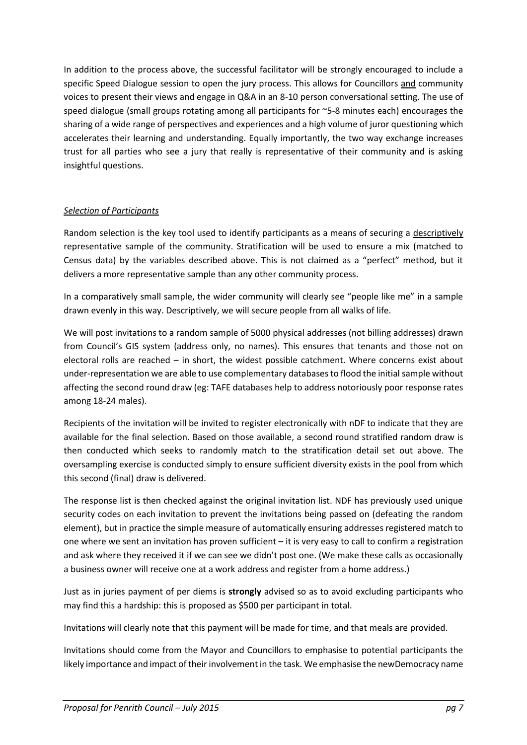In addition to the process above, the successful facilitator will be strongly encouraged to include a specific Speed Dialogue session to open the jury process. This allows for Councillors and community voices to present their views and engage in Q&A in an 8-10 person conversational setting. The use of speed dialogue (small groups rotating among all participants for ~5-8 minutes each) encourages the sharing of a wide range of perspectives and experiences and a high volume of juror questioning which accelerates their learning and understanding. Equally importantly, the two way exchange increases trust for all parties who see a jury that really is representative of their community and is asking insightful questions.

## *Selection of Participants*

Random selection is the key tool used to identify participants as a means of securing a descriptively representative sample of the community. Stratification will be used to ensure a mix (matched to Census data) by the variables described above. This is not claimed as a "perfect" method, but it delivers a more representative sample than any other community process.

In a comparatively small sample, the wider community will clearly see "people like me" in a sample drawn evenly in this way. Descriptively, we will secure people from all walks of life.

We will post invitations to a random sample of 5000 physical addresses (not billing addresses) drawn from Council's GIS system (address only, no names). This ensures that tenants and those not on electoral rolls are reached – in short, the widest possible catchment. Where concerns exist about under-representation we are able to use complementary databases to flood the initial sample without affecting the second round draw (eg: TAFE databases help to address notoriously poor response rates among 18-24 males).

Recipients of the invitation will be invited to register electronically with nDF to indicate that they are available for the final selection. Based on those available, a second round stratified random draw is then conducted which seeks to randomly match to the stratification detail set out above. The oversampling exercise is conducted simply to ensure sufficient diversity exists in the pool from which this second (final) draw is delivered.

The response list is then checked against the original invitation list. NDF has previously used unique security codes on each invitation to prevent the invitations being passed on (defeating the random element), but in practice the simple measure of automatically ensuring addresses registered match to one where we sent an invitation has proven sufficient – it is very easy to call to confirm a registration and ask where they received it if we can see we didn't post one. (We make these calls as occasionally a business owner will receive one at a work address and register from a home address.)

Just as in juries payment of per diems is **strongly** advised so as to avoid excluding participants who may find this a hardship: this is proposed as \$500 per participant in total.

Invitations will clearly note that this payment will be made for time, and that meals are provided.

Invitations should come from the Mayor and Councillors to emphasise to potential participants the likely importance and impact of their involvement in the task. We emphasise the newDemocracy name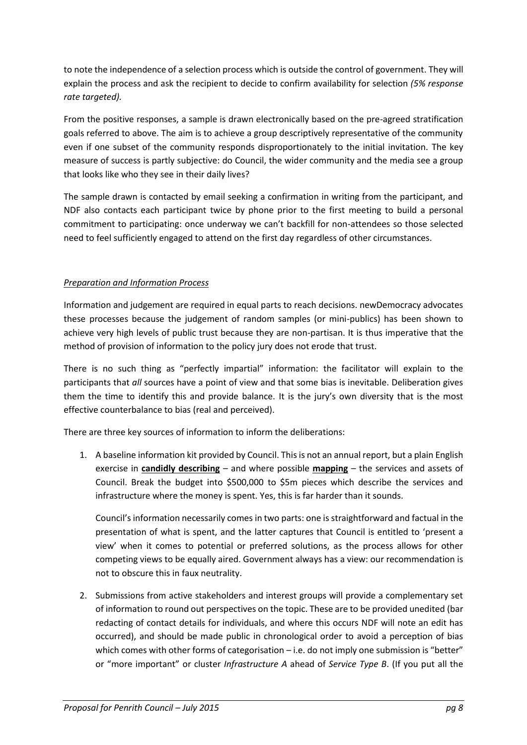to note the independence of a selection process which is outside the control of government. They will explain the process and ask the recipient to decide to confirm availability for selection *(5% response rate targeted).*

From the positive responses, a sample is drawn electronically based on the pre-agreed stratification goals referred to above. The aim is to achieve a group descriptively representative of the community even if one subset of the community responds disproportionately to the initial invitation. The key measure of success is partly subjective: do Council, the wider community and the media see a group that looks like who they see in their daily lives?

The sample drawn is contacted by email seeking a confirmation in writing from the participant, and NDF also contacts each participant twice by phone prior to the first meeting to build a personal commitment to participating: once underway we can't backfill for non-attendees so those selected need to feel sufficiently engaged to attend on the first day regardless of other circumstances.

## *Preparation and Information Process*

Information and judgement are required in equal parts to reach decisions. newDemocracy advocates these processes because the judgement of random samples (or mini-publics) has been shown to achieve very high levels of public trust because they are non-partisan. It is thus imperative that the method of provision of information to the policy jury does not erode that trust.

There is no such thing as "perfectly impartial" information: the facilitator will explain to the participants that *all* sources have a point of view and that some bias is inevitable. Deliberation gives them the time to identify this and provide balance. It is the jury's own diversity that is the most effective counterbalance to bias (real and perceived).

There are three key sources of information to inform the deliberations:

1. A baseline information kit provided by Council. This is not an annual report, but a plain English exercise in **candidly describing** – and where possible **mapping** – the services and assets of Council. Break the budget into \$500,000 to \$5m pieces which describe the services and infrastructure where the money is spent. Yes, this is far harder than it sounds.

Council's information necessarily comes in two parts: one is straightforward and factual in the presentation of what is spent, and the latter captures that Council is entitled to 'present a view' when it comes to potential or preferred solutions, as the process allows for other competing views to be equally aired. Government always has a view: our recommendation is not to obscure this in faux neutrality.

2. Submissions from active stakeholders and interest groups will provide a complementary set of information to round out perspectives on the topic. These are to be provided unedited (bar redacting of contact details for individuals, and where this occurs NDF will note an edit has occurred), and should be made public in chronological order to avoid a perception of bias which comes with other forms of categorisation – i.e. do not imply one submission is "better" or "more important" or cluster *Infrastructure A* ahead of *Service Type B*. (If you put all the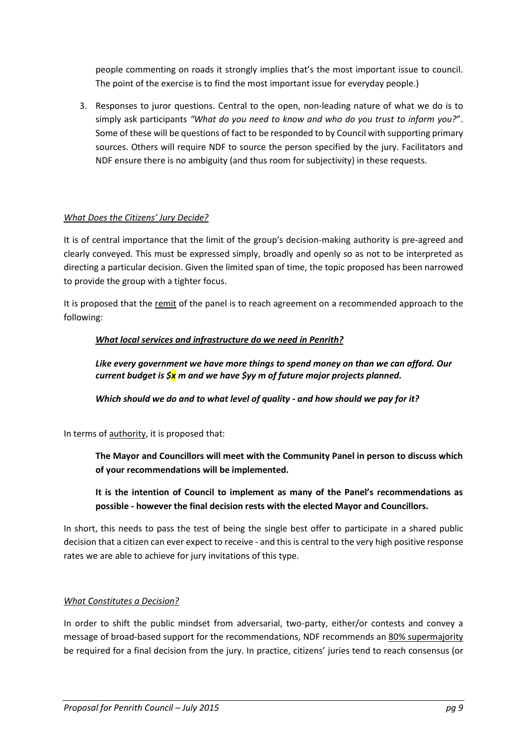people commenting on roads it strongly implies that's the most important issue to council. The point of the exercise is to find the most important issue for everyday people.)

3. Responses to juror questions. Central to the open, non-leading nature of what we do is to simply ask participants *"What do you need to know and who do you trust to inform you?*". Some of these will be questions of fact to be responded to by Council with supporting primary sources. Others will require NDF to source the person specified by the jury. Facilitators and NDF ensure there is no ambiguity (and thus room for subjectivity) in these requests.

## *What Does the Citizens' Jury Decide?*

It is of central importance that the limit of the group's decision-making authority is pre-agreed and clearly conveyed. This must be expressed simply, broadly and openly so as not to be interpreted as directing a particular decision. Given the limited span of time, the topic proposed has been narrowed to provide the group with a tighter focus.

It is proposed that the remit of the panel is to reach agreement on a recommended approach to the following:

## *What local services and infrastructure do we need in Penrith?*

*Like every government we have more things to spend money on than we can afford. Our current budget is \$x m and we have \$yy m of future major projects planned.*

*Which should we do and to what level of quality - and how should we pay for it?*

In terms of authority, it is proposed that:

**The Mayor and Councillors will meet with the Community Panel in person to discuss which of your recommendations will be implemented.**

**It is the intention of Council to implement as many of the Panel's recommendations as possible - however the final decision rests with the elected Mayor and Councillors.**

In short, this needs to pass the test of being the single best offer to participate in a shared public decision that a citizen can ever expect to receive - and this is central to the very high positive response rates we are able to achieve for jury invitations of this type.

#### *What Constitutes a Decision?*

In order to shift the public mindset from adversarial, two-party, either/or contests and convey a message of broad-based support for the recommendations, NDF recommends an 80% supermajority be required for a final decision from the jury. In practice, citizens' juries tend to reach consensus (or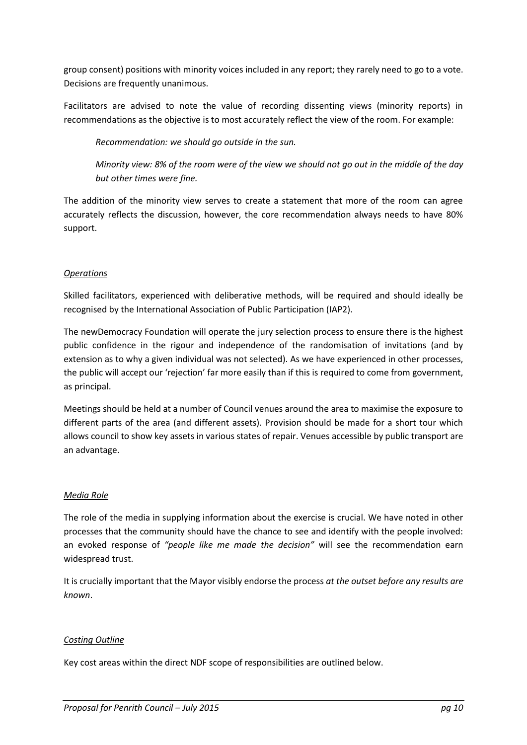group consent) positions with minority voices included in any report; they rarely need to go to a vote. Decisions are frequently unanimous.

Facilitators are advised to note the value of recording dissenting views (minority reports) in recommendations as the objective is to most accurately reflect the view of the room. For example:

*Recommendation: we should go outside in the sun.*

*Minority view: 8% of the room were of the view we should not go out in the middle of the day but other times were fine.*

The addition of the minority view serves to create a statement that more of the room can agree accurately reflects the discussion, however, the core recommendation always needs to have 80% support.

## *Operations*

Skilled facilitators, experienced with deliberative methods, will be required and should ideally be recognised by the International Association of Public Participation (IAP2).

The newDemocracy Foundation will operate the jury selection process to ensure there is the highest public confidence in the rigour and independence of the randomisation of invitations (and by extension as to why a given individual was not selected). As we have experienced in other processes, the public will accept our 'rejection' far more easily than if this is required to come from government, as principal.

Meetings should be held at a number of Council venues around the area to maximise the exposure to different parts of the area (and different assets). Provision should be made for a short tour which allows council to show key assets in various states of repair. Venues accessible by public transport are an advantage.

#### *Media Role*

The role of the media in supplying information about the exercise is crucial. We have noted in other processes that the community should have the chance to see and identify with the people involved: an evoked response of *"people like me made the decision"* will see the recommendation earn widespread trust.

It is crucially important that the Mayor visibly endorse the process *at the outset before any results are known*.

#### *Costing Outline*

Key cost areas within the direct NDF scope of responsibilities are outlined below.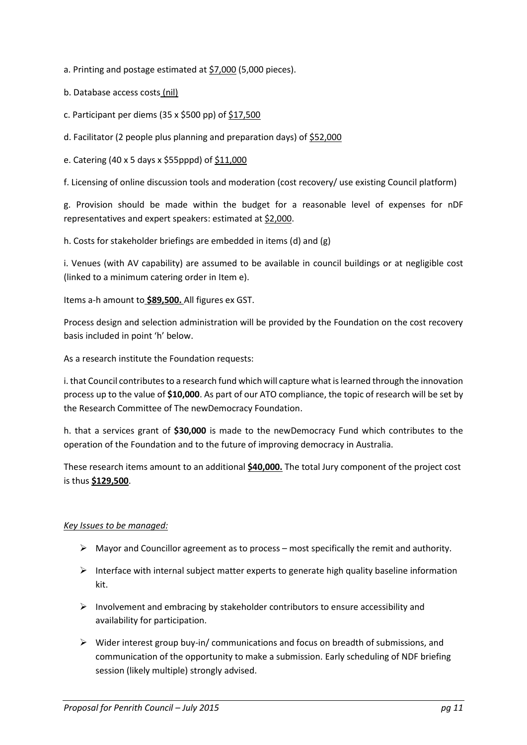- a. Printing and postage estimated at \$7,000 (5,000 pieces).
- b. Database access costs (nil)
- c. Participant per diems (35 x \$500 pp) of \$17,500
- d. Facilitator (2 people plus planning and preparation days) of \$52,000
- e. Catering (40 x 5 days x \$55pppd) of \$11,000

f. Licensing of online discussion tools and moderation (cost recovery/ use existing Council platform)

g. Provision should be made within the budget for a reasonable level of expenses for nDF representatives and expert speakers: estimated at \$2,000.

h. Costs for stakeholder briefings are embedded in items (d) and (g)

i. Venues (with AV capability) are assumed to be available in council buildings or at negligible cost (linked to a minimum catering order in Item e).

Items a-h amount to **\$89,500.** All figures ex GST.

Process design and selection administration will be provided by the Foundation on the cost recovery basis included in point 'h' below.

As a research institute the Foundation requests:

i. that Council contributes to a research fund which will capture what is learned through the innovation process up to the value of **\$10,000**. As part of our ATO compliance, the topic of research will be set by the Research Committee of The newDemocracy Foundation.

h. that a services grant of **\$30,000** is made to the newDemocracy Fund which contributes to the operation of the Foundation and to the future of improving democracy in Australia.

These research items amount to an additional **\$40,000.** The total Jury component of the project cost is thus **\$129,500**.

#### *Key Issues to be managed:*

- $\triangleright$  Mayor and Councillor agreement as to process most specifically the remit and authority.
- $\triangleright$  Interface with internal subject matter experts to generate high quality baseline information kit.
- $\triangleright$  Involvement and embracing by stakeholder contributors to ensure accessibility and availability for participation.
- $\triangleright$  Wider interest group buy-in/ communications and focus on breadth of submissions, and communication of the opportunity to make a submission. Early scheduling of NDF briefing session (likely multiple) strongly advised.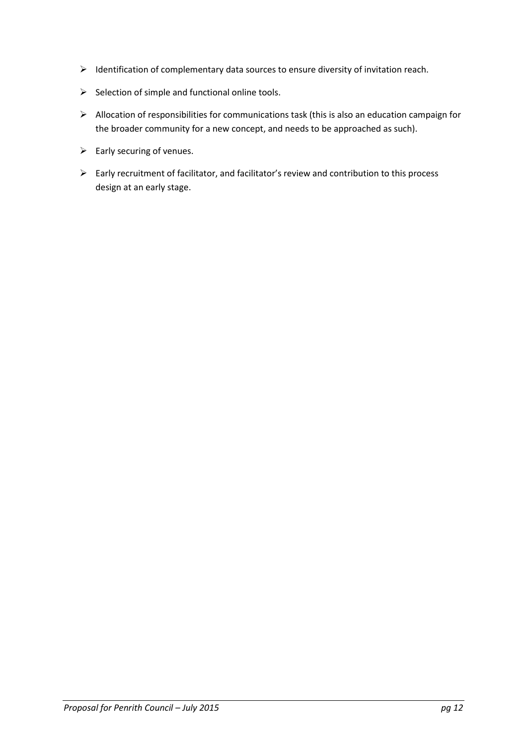- $\triangleright$  Identification of complementary data sources to ensure diversity of invitation reach.
- $\triangleright$  Selection of simple and functional online tools.
- $\triangleright$  Allocation of responsibilities for communications task (this is also an education campaign for the broader community for a new concept, and needs to be approached as such).
- $\triangleright$  Early securing of venues.
- Early recruitment of facilitator, and facilitator's review and contribution to this process design at an early stage.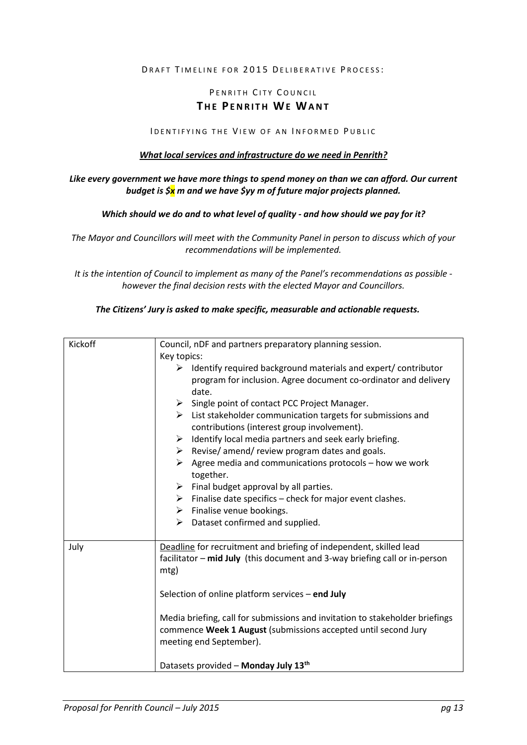#### DRAFT TIMELINE FOR 2015 DELIBERATIVE PROCESS:

# PENRITH CITY COUNCIL **THE PENRITH WE WANT**

#### I DENTIFYING THE VIEW OF AN INFORMED PUBLIC

#### *What local services and infrastructure do we need in Penrith?*

#### *Like every government we have more things to spend money on than we can afford. Our current budget is \$x m and we have \$yy m of future major projects planned.*

#### *Which should we do and to what level of quality - and how should we pay for it?*

*The Mayor and Councillors will meet with the Community Panel in person to discuss which of your recommendations will be implemented.*

*It is the intention of Council to implement as many of the Panel's recommendations as possible however the final decision rests with the elected Mayor and Councillors.*

#### *The Citizens' Jury is asked to make specific, measurable and actionable requests.*

| Kickoff | Council, nDF and partners preparatory planning session.                                                                                        |
|---------|------------------------------------------------------------------------------------------------------------------------------------------------|
|         | Key topics:                                                                                                                                    |
|         | $\triangleright$ Identify required background materials and expert/ contributor                                                                |
|         | program for inclusion. Agree document co-ordinator and delivery<br>date.                                                                       |
|         | $\triangleright$ Single point of contact PCC Project Manager.                                                                                  |
|         | $\triangleright$ List stakeholder communication targets for submissions and                                                                    |
|         | contributions (interest group involvement).                                                                                                    |
|         | Identify local media partners and seek early briefing.<br>➤                                                                                    |
|         | Revise/amend/review program dates and goals.<br>➤                                                                                              |
|         | Agree media and communications protocols - how we work<br>➤<br>together.                                                                       |
|         | $\triangleright$ Final budget approval by all parties.                                                                                         |
|         | Finalise date specifics - check for major event clashes.<br>≻                                                                                  |
|         | $\triangleright$ Finalise venue bookings.                                                                                                      |
|         | Dataset confirmed and supplied.<br>≻                                                                                                           |
|         |                                                                                                                                                |
| July    | Deadline for recruitment and briefing of independent, skilled lead                                                                             |
|         | facilitator - mid July (this document and 3-way briefing call or in-person                                                                     |
|         | mtg)                                                                                                                                           |
|         |                                                                                                                                                |
|         | Selection of online platform services $-$ end July                                                                                             |
|         |                                                                                                                                                |
|         | Media briefing, call for submissions and invitation to stakeholder briefings<br>commence Week 1 August (submissions accepted until second Jury |
|         | meeting end September).                                                                                                                        |
|         |                                                                                                                                                |
|         | Datasets provided - Monday July 13 <sup>th</sup>                                                                                               |
|         |                                                                                                                                                |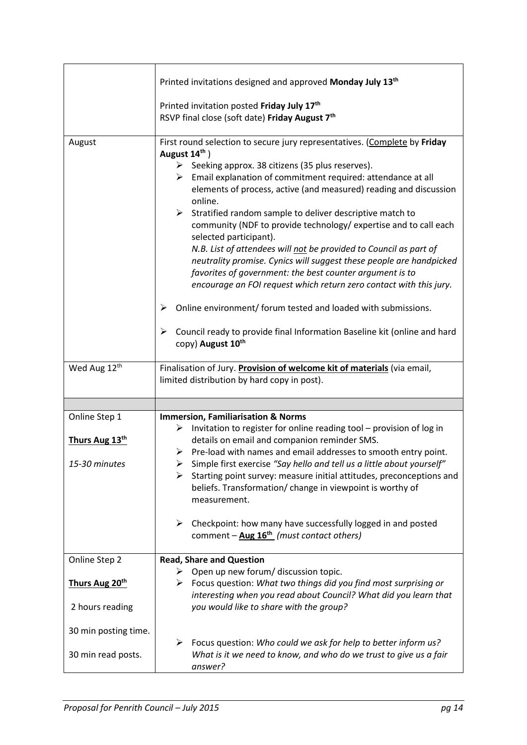|                                   | Printed invitations designed and approved Monday July 13 <sup>th</sup>                                                                                                                                                                                                                                                                                                                                                                                                                                                                                                                                                                                                                                                                                                                                                                                                                                                                                             |
|-----------------------------------|--------------------------------------------------------------------------------------------------------------------------------------------------------------------------------------------------------------------------------------------------------------------------------------------------------------------------------------------------------------------------------------------------------------------------------------------------------------------------------------------------------------------------------------------------------------------------------------------------------------------------------------------------------------------------------------------------------------------------------------------------------------------------------------------------------------------------------------------------------------------------------------------------------------------------------------------------------------------|
|                                   | Printed invitation posted Friday July 17 <sup>th</sup><br>RSVP final close (soft date) Friday August 7th                                                                                                                                                                                                                                                                                                                                                                                                                                                                                                                                                                                                                                                                                                                                                                                                                                                           |
| August                            | First round selection to secure jury representatives. (Complete by Friday<br>August 14th)<br>$\triangleright$ Seeking approx. 38 citizens (35 plus reserves).<br>$\triangleright$ Email explanation of commitment required: attendance at all<br>elements of process, active (and measured) reading and discussion<br>online.<br>$\triangleright$ Stratified random sample to deliver descriptive match to<br>community (NDF to provide technology/ expertise and to call each<br>selected participant).<br>N.B. List of attendees will not be provided to Council as part of<br>neutrality promise. Cynics will suggest these people are handpicked<br>favorites of government: the best counter argument is to<br>encourage an FOI request which return zero contact with this jury.<br>Online environment/ forum tested and loaded with submissions.<br>➤<br>Council ready to provide final Information Baseline kit (online and hard<br>➤<br>copy) August 10th |
| Wed Aug 12th                      | Finalisation of Jury. Provision of welcome kit of materials (via email,<br>limited distribution by hard copy in post).                                                                                                                                                                                                                                                                                                                                                                                                                                                                                                                                                                                                                                                                                                                                                                                                                                             |
|                                   |                                                                                                                                                                                                                                                                                                                                                                                                                                                                                                                                                                                                                                                                                                                                                                                                                                                                                                                                                                    |
| Online Step 1                     | <b>Immersion, Familiarisation &amp; Norms</b>                                                                                                                                                                                                                                                                                                                                                                                                                                                                                                                                                                                                                                                                                                                                                                                                                                                                                                                      |
| Thurs Aug 13th<br>15-30 minutes   | Invitation to register for online reading tool - provision of log in<br>➤<br>details on email and companion reminder SMS.<br>$\triangleright$ Pre-load with names and email addresses to smooth entry point.<br>Simple first exercise "Say hello and tell us a little about yourself"<br>Starting point survey: measure initial attitudes, preconceptions and<br>➤<br>beliefs. Transformation/ change in viewpoint is worthy of<br>measurement.                                                                                                                                                                                                                                                                                                                                                                                                                                                                                                                    |
|                                   | $\blacktriangleright$<br>Checkpoint: how many have successfully logged in and posted<br>comment $-\Delta$ ug 16 <sup>th</sup> (must contact others)                                                                                                                                                                                                                                                                                                                                                                                                                                                                                                                                                                                                                                                                                                                                                                                                                |
| Online Step 2                     | <b>Read, Share and Question</b>                                                                                                                                                                                                                                                                                                                                                                                                                                                                                                                                                                                                                                                                                                                                                                                                                                                                                                                                    |
| Thurs Aug 20th<br>2 hours reading | Open up new forum/ discussion topic.<br>➤<br>$\triangleright$ Focus question: What two things did you find most surprising or<br>interesting when you read about Council? What did you learn that<br>you would like to share with the group?                                                                                                                                                                                                                                                                                                                                                                                                                                                                                                                                                                                                                                                                                                                       |
| 30 min posting time.              |                                                                                                                                                                                                                                                                                                                                                                                                                                                                                                                                                                                                                                                                                                                                                                                                                                                                                                                                                                    |
| 30 min read posts.                | Focus question: Who could we ask for help to better inform us?<br>➤<br>What is it we need to know, and who do we trust to give us a fair<br>answer?                                                                                                                                                                                                                                                                                                                                                                                                                                                                                                                                                                                                                                                                                                                                                                                                                |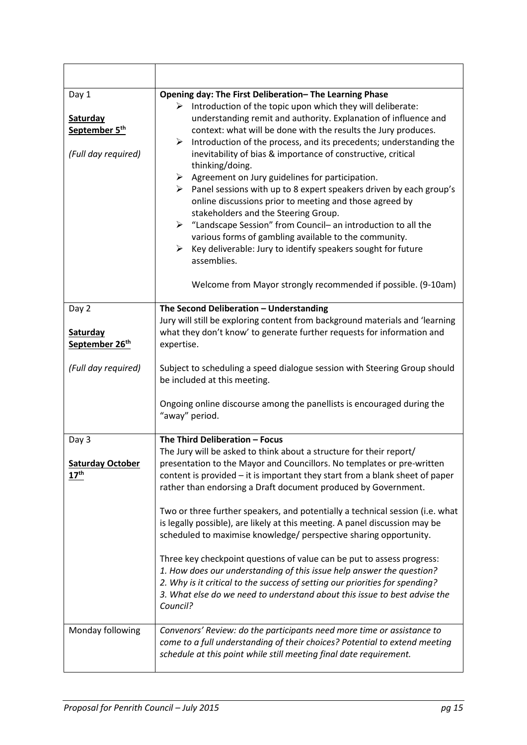| Day 1<br><b>Saturday</b><br>September 5 <sup>th</sup><br>(Full day required) | Opening day: The First Deliberation-The Learning Phase<br>$\triangleright$ Introduction of the topic upon which they will deliberate:<br>understanding remit and authority. Explanation of influence and<br>context: what will be done with the results the Jury produces.<br>Introduction of the process, and its precedents; understanding the<br>≻<br>inevitability of bias & importance of constructive, critical<br>thinking/doing.<br>Agreement on Jury guidelines for participation.<br>➤<br>$\triangleright$ Panel sessions with up to 8 expert speakers driven by each group's<br>online discussions prior to meeting and those agreed by<br>stakeholders and the Steering Group.<br>$\triangleright$ "Landscape Session" from Council- an introduction to all the<br>various forms of gambling available to the community.<br>Key deliverable: Jury to identify speakers sought for future<br>➤<br>assemblies.<br>Welcome from Mayor strongly recommended if possible. (9-10am) |
|------------------------------------------------------------------------------|-------------------------------------------------------------------------------------------------------------------------------------------------------------------------------------------------------------------------------------------------------------------------------------------------------------------------------------------------------------------------------------------------------------------------------------------------------------------------------------------------------------------------------------------------------------------------------------------------------------------------------------------------------------------------------------------------------------------------------------------------------------------------------------------------------------------------------------------------------------------------------------------------------------------------------------------------------------------------------------------|
| Day 2<br>Saturday                                                            | The Second Deliberation - Understanding<br>Jury will still be exploring content from background materials and 'learning<br>what they don't know' to generate further requests for information and                                                                                                                                                                                                                                                                                                                                                                                                                                                                                                                                                                                                                                                                                                                                                                                         |
| September 26 <sup>th</sup>                                                   | expertise.                                                                                                                                                                                                                                                                                                                                                                                                                                                                                                                                                                                                                                                                                                                                                                                                                                                                                                                                                                                |
| (Full day required)                                                          | Subject to scheduling a speed dialogue session with Steering Group should<br>be included at this meeting.<br>Ongoing online discourse among the panellists is encouraged during the<br>"away" period.                                                                                                                                                                                                                                                                                                                                                                                                                                                                                                                                                                                                                                                                                                                                                                                     |
| Day 3                                                                        | The Third Deliberation - Focus                                                                                                                                                                                                                                                                                                                                                                                                                                                                                                                                                                                                                                                                                                                                                                                                                                                                                                                                                            |
| Saturday October<br>$17^{\text{th}}$                                         | The Jury will be asked to think about a structure for their report/<br>presentation to the Mayor and Councillors. No templates or pre-written<br>content is provided $-$ it is important they start from a blank sheet of paper<br>rather than endorsing a Draft document produced by Government.<br>Two or three further speakers, and potentially a technical session (i.e. what<br>is legally possible), are likely at this meeting. A panel discussion may be<br>scheduled to maximise knowledge/ perspective sharing opportunity.<br>Three key checkpoint questions of value can be put to assess progress:<br>1. How does our understanding of this issue help answer the question?<br>2. Why is it critical to the success of setting our priorities for spending?<br>3. What else do we need to understand about this issue to best advise the<br>Council?                                                                                                                        |
|                                                                              |                                                                                                                                                                                                                                                                                                                                                                                                                                                                                                                                                                                                                                                                                                                                                                                                                                                                                                                                                                                           |
| Monday following                                                             | Convenors' Review: do the participants need more time or assistance to<br>come to a full understanding of their choices? Potential to extend meeting<br>schedule at this point while still meeting final date requirement.                                                                                                                                                                                                                                                                                                                                                                                                                                                                                                                                                                                                                                                                                                                                                                |